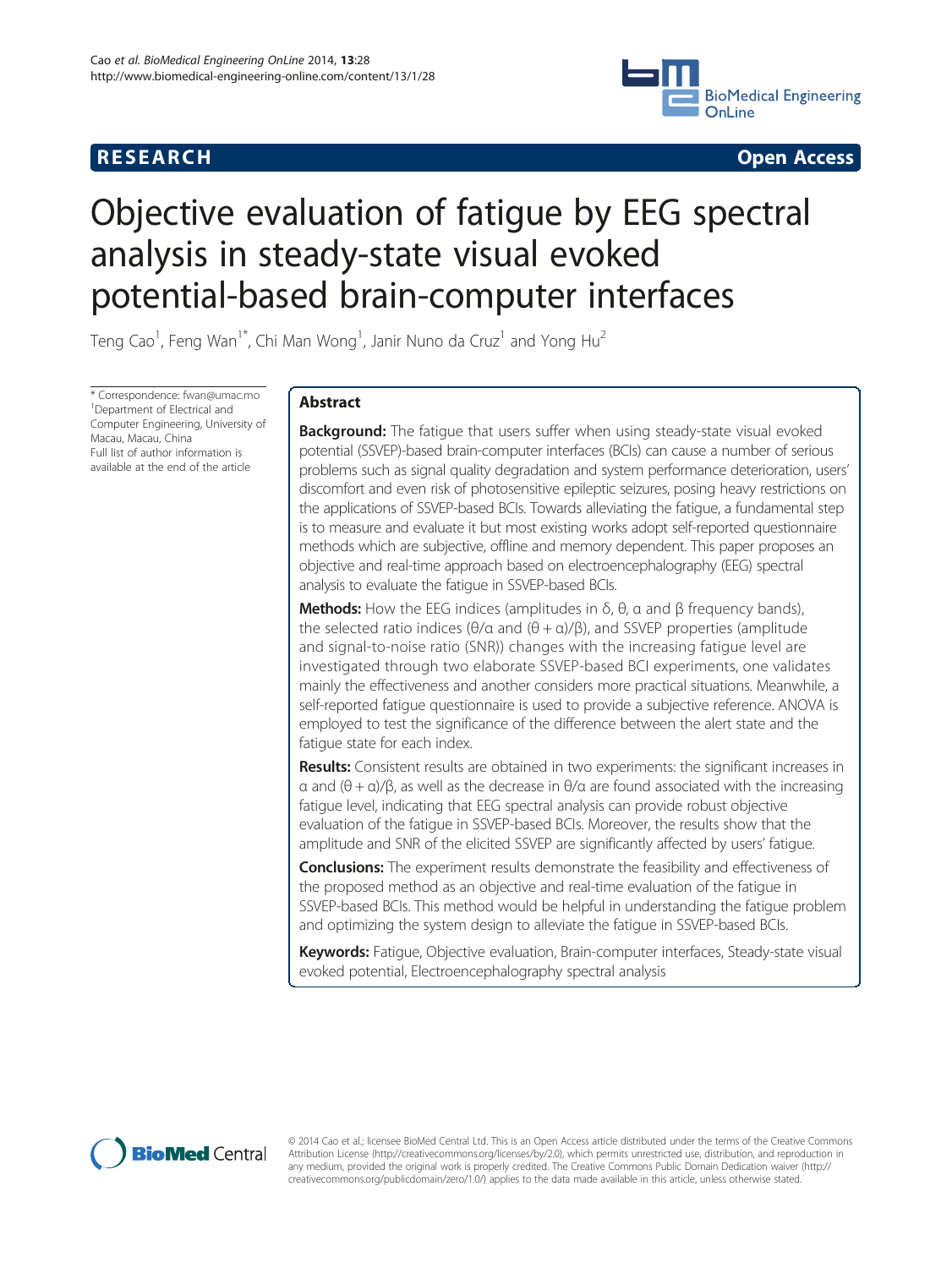# **RESEARCH CHINESE ARCH CHINESE ARCH CHINESE ARCH**



# Objective evaluation of fatigue by EEG spectral analysis in steady-state visual evoked potential-based brain-computer interfaces

Teng Cao $^{\rm l}$ , Feng Wan $^{\rm l}$ \*, Chi Man Wong $^{\rm l}$ , Janir Nuno da Cruz $^{\rm l}$  and Yong Hu $^{\rm 2}$ 

\* Correspondence: [fwan@umac.mo](mailto:fwan@umac.mo) <sup>1</sup> <sup>1</sup>Department of Electrical and Computer Engineering, University of Macau, Macau, China Full list of author information is available at the end of the article

# Abstract

**Background:** The fatigue that users suffer when using steady-state visual evoked potential (SSVEP)-based brain-computer interfaces (BCIs) can cause a number of serious problems such as signal quality degradation and system performance deterioration, users' discomfort and even risk of photosensitive epileptic seizures, posing heavy restrictions on the applications of SSVEP-based BCIs. Towards alleviating the fatigue, a fundamental step is to measure and evaluate it but most existing works adopt self-reported questionnaire methods which are subjective, offline and memory dependent. This paper proposes an objective and real-time approach based on electroencephalography (EEG) spectral analysis to evaluate the fatigue in SSVEP-based BCIs.

**Methods:** How the EEG indices (amplitudes in  $\delta$ ,  $\theta$ ,  $\alpha$  and  $\beta$  frequency bands), the selected ratio indices ( $θ/α$  and  $(θ + α)/β$ ), and SSVEP properties (amplitude and signal-to-noise ratio (SNR)) changes with the increasing fatigue level are investigated through two elaborate SSVEP-based BCI experiments, one validates mainly the effectiveness and another considers more practical situations. Meanwhile, a self-reported fatigue questionnaire is used to provide a subjective reference. ANOVA is employed to test the significance of the difference between the alert state and the fatigue state for each index.

**Results:** Consistent results are obtained in two experiments: the significant increases in α and (θ + α)/β, as well as the decrease in θ/α are found associated with the increasing fatigue level, indicating that EEG spectral analysis can provide robust objective evaluation of the fatigue in SSVEP-based BCIs. Moreover, the results show that the amplitude and SNR of the elicited SSVEP are significantly affected by users' fatigue.

**Conclusions:** The experiment results demonstrate the feasibility and effectiveness of the proposed method as an objective and real-time evaluation of the fatigue in SSVEP-based BCIs. This method would be helpful in understanding the fatigue problem and optimizing the system design to alleviate the fatigue in SSVEP-based BCIs.

Keywords: Fatigue, Objective evaluation, Brain-computer interfaces, Steady-state visual evoked potential, Electroencephalography spectral analysis



© 2014 Cao et al.; licensee BioMed Central Ltd. This is an Open Access article distributed under the terms of the Creative Commons Attribution License (<http://creativecommons.org/licenses/by/2.0>), which permits unrestricted use, distribution, and reproduction in any medium, provided the original work is properly credited. The Creative Commons Public Domain Dedication waiver [\(http://](http://creativecommons.org/publicdomain/zero/1.0/) [creativecommons.org/publicdomain/zero/1.0/\)](http://creativecommons.org/publicdomain/zero/1.0/) applies to the data made available in this article, unless otherwise stated.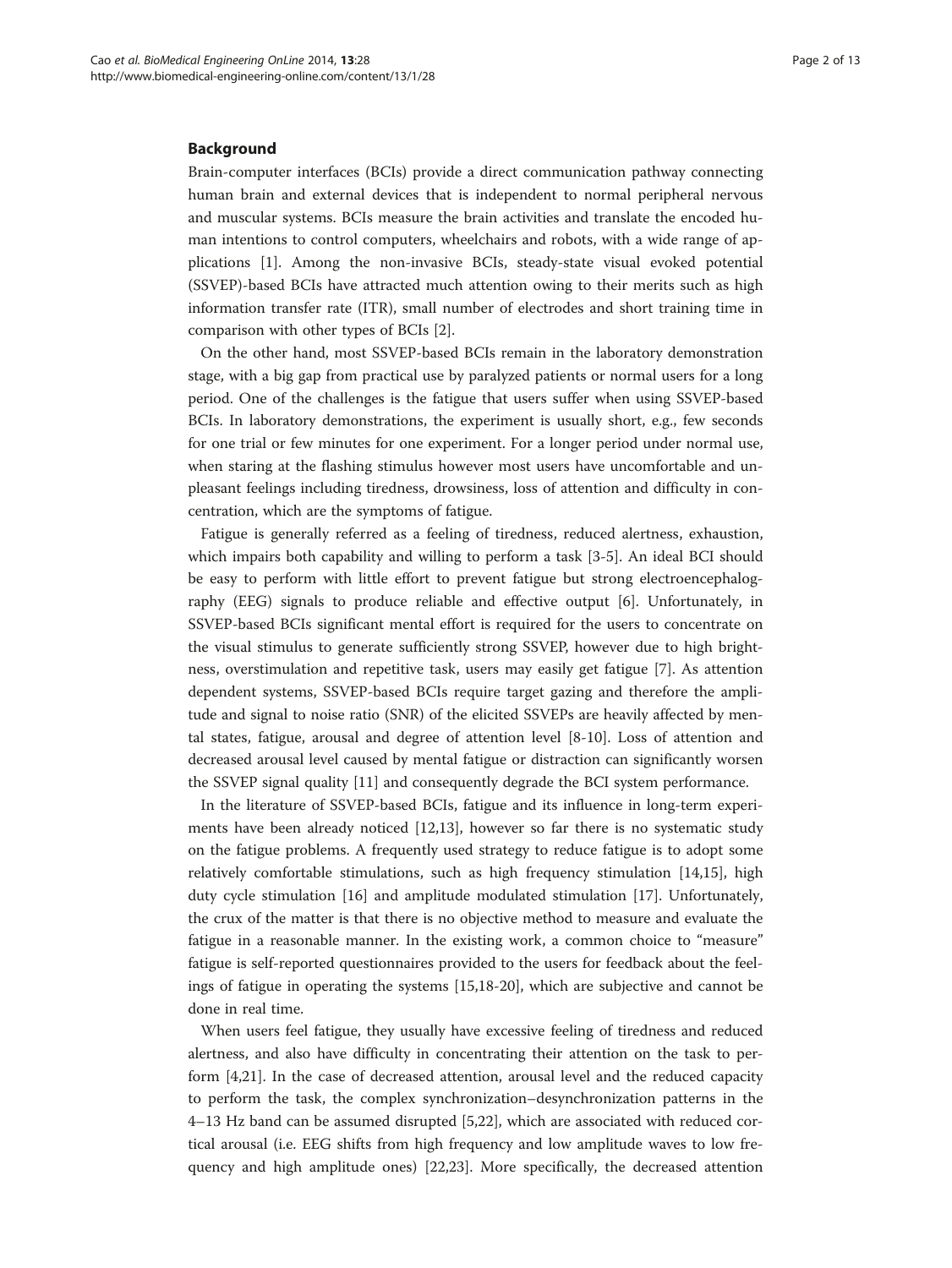#### Background

Brain-computer interfaces (BCIs) provide a direct communication pathway connecting human brain and external devices that is independent to normal peripheral nervous and muscular systems. BCIs measure the brain activities and translate the encoded human intentions to control computers, wheelchairs and robots, with a wide range of applications [\[1\]](#page-11-0). Among the non-invasive BCIs, steady-state visual evoked potential (SSVEP)-based BCIs have attracted much attention owing to their merits such as high information transfer rate (ITR), small number of electrodes and short training time in comparison with other types of BCIs [[2](#page-11-0)].

On the other hand, most SSVEP-based BCIs remain in the laboratory demonstration stage, with a big gap from practical use by paralyzed patients or normal users for a long period. One of the challenges is the fatigue that users suffer when using SSVEP-based BCIs. In laboratory demonstrations, the experiment is usually short, e.g., few seconds for one trial or few minutes for one experiment. For a longer period under normal use, when staring at the flashing stimulus however most users have uncomfortable and unpleasant feelings including tiredness, drowsiness, loss of attention and difficulty in concentration, which are the symptoms of fatigue.

Fatigue is generally referred as a feeling of tiredness, reduced alertness, exhaustion, which impairs both capability and willing to perform a task [[3-5](#page-11-0)]. An ideal BCI should be easy to perform with little effort to prevent fatigue but strong electroencephalography (EEG) signals to produce reliable and effective output [[6\]](#page-11-0). Unfortunately, in SSVEP-based BCIs significant mental effort is required for the users to concentrate on the visual stimulus to generate sufficiently strong SSVEP, however due to high brightness, overstimulation and repetitive task, users may easily get fatigue [\[7](#page-11-0)]. As attention dependent systems, SSVEP-based BCIs require target gazing and therefore the amplitude and signal to noise ratio (SNR) of the elicited SSVEPs are heavily affected by mental states, fatigue, arousal and degree of attention level [[8-10](#page-11-0)]. Loss of attention and decreased arousal level caused by mental fatigue or distraction can significantly worsen the SSVEP signal quality [\[11](#page-11-0)] and consequently degrade the BCI system performance.

In the literature of SSVEP-based BCIs, fatigue and its influence in long-term experiments have been already noticed [[12,13\]](#page-11-0), however so far there is no systematic study on the fatigue problems. A frequently used strategy to reduce fatigue is to adopt some relatively comfortable stimulations, such as high frequency stimulation [[14,](#page-11-0)[15\]](#page-12-0), high duty cycle stimulation [\[16](#page-12-0)] and amplitude modulated stimulation [\[17](#page-12-0)]. Unfortunately, the crux of the matter is that there is no objective method to measure and evaluate the fatigue in a reasonable manner. In the existing work, a common choice to "measure" fatigue is self-reported questionnaires provided to the users for feedback about the feelings of fatigue in operating the systems [\[15,18](#page-12-0)-[20\]](#page-12-0), which are subjective and cannot be done in real time.

When users feel fatigue, they usually have excessive feeling of tiredness and reduced alertness, and also have difficulty in concentrating their attention on the task to perform [\[4](#page-11-0)[,21](#page-12-0)]. In the case of decreased attention, arousal level and the reduced capacity to perform the task, the complex synchronization–desynchronization patterns in the 4–13 Hz band can be assumed disrupted [\[5,](#page-11-0)[22\]](#page-12-0), which are associated with reduced cortical arousal (i.e. EEG shifts from high frequency and low amplitude waves to low frequency and high amplitude ones) [[22,23\]](#page-12-0). More specifically, the decreased attention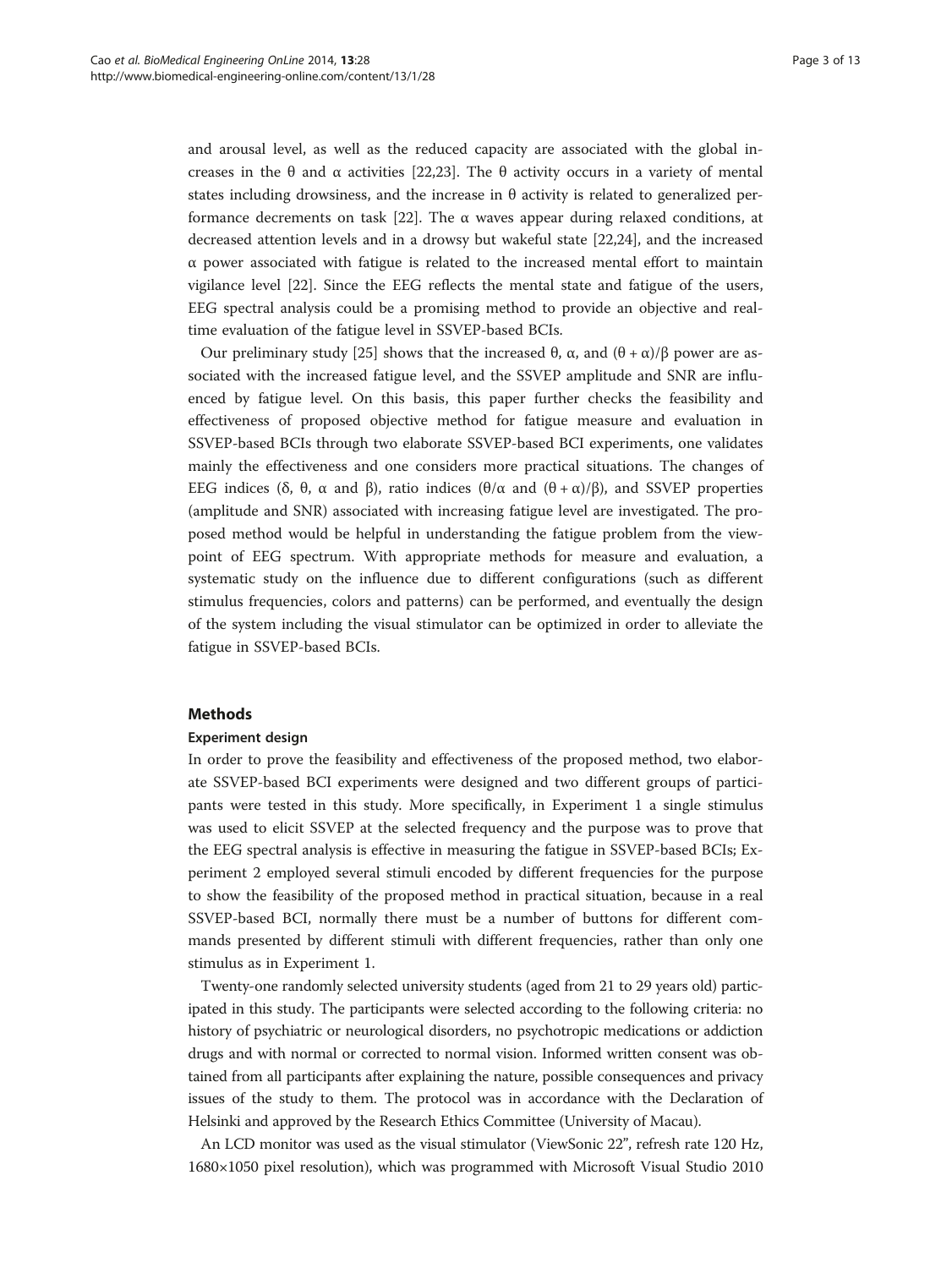and arousal level, as well as the reduced capacity are associated with the global in-creases in the θ and α activities [[22](#page-12-0),[23](#page-12-0)]. The θ activity occurs in a variety of mental states including drowsiness, and the increase in θ activity is related to generalized per-formance decrements on task [\[22\]](#page-12-0). The  $\alpha$  waves appear during relaxed conditions, at decreased attention levels and in a drowsy but wakeful state [\[22,24\]](#page-12-0), and the increased  $\alpha$  power associated with fatigue is related to the increased mental effort to maintain vigilance level [\[22\]](#page-12-0). Since the EEG reflects the mental state and fatigue of the users, EEG spectral analysis could be a promising method to provide an objective and realtime evaluation of the fatigue level in SSVEP-based BCIs.

Our preliminary study [[25\]](#page-12-0) shows that the increased θ, α, and  $(θ + α)/β$  power are associated with the increased fatigue level, and the SSVEP amplitude and SNR are influenced by fatigue level. On this basis, this paper further checks the feasibility and effectiveness of proposed objective method for fatigue measure and evaluation in SSVEP-based BCIs through two elaborate SSVEP-based BCI experiments, one validates mainly the effectiveness and one considers more practical situations. The changes of EEG indices (δ, θ, α and β), ratio indices (θ/α and  $(θ + α)/β$ ), and SSVEP properties (amplitude and SNR) associated with increasing fatigue level are investigated. The proposed method would be helpful in understanding the fatigue problem from the viewpoint of EEG spectrum. With appropriate methods for measure and evaluation, a systematic study on the influence due to different configurations (such as different stimulus frequencies, colors and patterns) can be performed, and eventually the design of the system including the visual stimulator can be optimized in order to alleviate the fatigue in SSVEP-based BCIs.

## Methods

#### Experiment design

In order to prove the feasibility and effectiveness of the proposed method, two elaborate SSVEP-based BCI experiments were designed and two different groups of participants were tested in this study. More specifically, in Experiment 1 a single stimulus was used to elicit SSVEP at the selected frequency and the purpose was to prove that the EEG spectral analysis is effective in measuring the fatigue in SSVEP-based BCIs; Experiment 2 employed several stimuli encoded by different frequencies for the purpose to show the feasibility of the proposed method in practical situation, because in a real SSVEP-based BCI, normally there must be a number of buttons for different commands presented by different stimuli with different frequencies, rather than only one stimulus as in Experiment 1.

Twenty-one randomly selected university students (aged from 21 to 29 years old) participated in this study. The participants were selected according to the following criteria: no history of psychiatric or neurological disorders, no psychotropic medications or addiction drugs and with normal or corrected to normal vision. Informed written consent was obtained from all participants after explaining the nature, possible consequences and privacy issues of the study to them. The protocol was in accordance with the Declaration of Helsinki and approved by the Research Ethics Committee (University of Macau).

An LCD monitor was used as the visual stimulator (ViewSonic 22", refresh rate 120 Hz, 1680×1050 pixel resolution), which was programmed with Microsoft Visual Studio 2010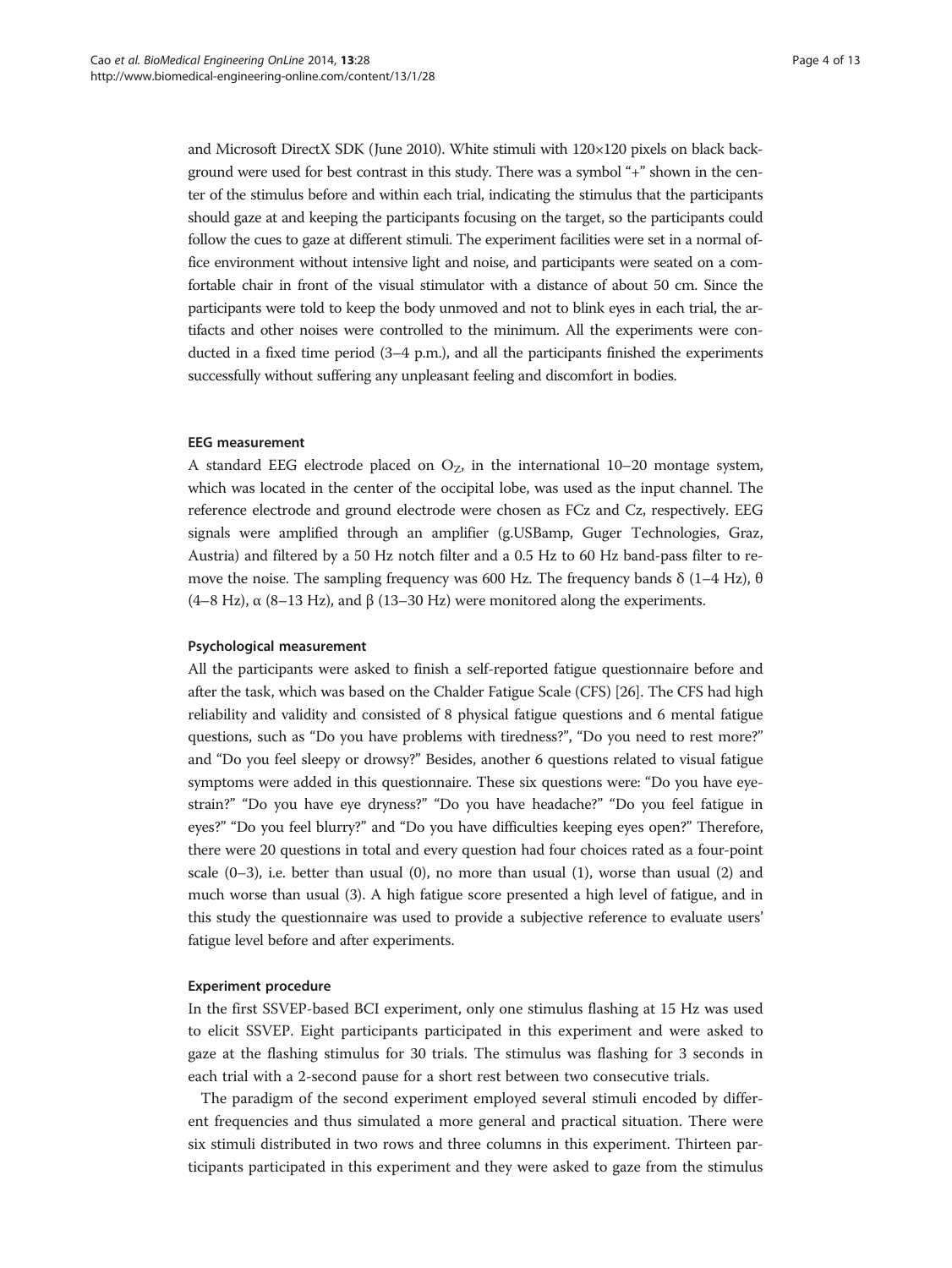and Microsoft DirectX SDK (June 2010). White stimuli with 120×120 pixels on black background were used for best contrast in this study. There was a symbol "+" shown in the center of the stimulus before and within each trial, indicating the stimulus that the participants should gaze at and keeping the participants focusing on the target, so the participants could follow the cues to gaze at different stimuli. The experiment facilities were set in a normal office environment without intensive light and noise, and participants were seated on a comfortable chair in front of the visual stimulator with a distance of about 50 cm. Since the participants were told to keep the body unmoved and not to blink eyes in each trial, the artifacts and other noises were controlled to the minimum. All the experiments were conducted in a fixed time period  $(3-4 \text{ p.m.})$ , and all the participants finished the experiments successfully without suffering any unpleasant feeling and discomfort in bodies.

#### EEG measurement

A standard EEG electrode placed on  $O<sub>Z</sub>$ , in the international 10–20 montage system, which was located in the center of the occipital lobe, was used as the input channel. The reference electrode and ground electrode were chosen as FCz and Cz, respectively. EEG signals were amplified through an amplifier (g.USBamp, Guger Technologies, Graz, Austria) and filtered by a 50 Hz notch filter and a 0.5 Hz to 60 Hz band-pass filter to remove the noise. The sampling frequency was 600 Hz. The frequency bands δ (1–4 Hz), θ (4–8 Hz),  $\alpha$  (8–13 Hz), and  $\beta$  (13–30 Hz) were monitored along the experiments.

# Psychological measurement

All the participants were asked to finish a self-reported fatigue questionnaire before and after the task, which was based on the Chalder Fatigue Scale (CFS) [\[26\]](#page-12-0). The CFS had high reliability and validity and consisted of 8 physical fatigue questions and 6 mental fatigue questions, such as "Do you have problems with tiredness?", "Do you need to rest more?" and "Do you feel sleepy or drowsy?" Besides, another 6 questions related to visual fatigue symptoms were added in this questionnaire. These six questions were: "Do you have eyestrain?" "Do you have eye dryness?" "Do you have headache?" "Do you feel fatigue in eyes?" "Do you feel blurry?" and "Do you have difficulties keeping eyes open?" Therefore, there were 20 questions in total and every question had four choices rated as a four-point scale  $(0-3)$ , i.e. better than usual  $(0)$ , no more than usual  $(1)$ , worse than usual  $(2)$  and much worse than usual (3). A high fatigue score presented a high level of fatigue, and in this study the questionnaire was used to provide a subjective reference to evaluate users' fatigue level before and after experiments.

## Experiment procedure

In the first SSVEP-based BCI experiment, only one stimulus flashing at 15 Hz was used to elicit SSVEP. Eight participants participated in this experiment and were asked to gaze at the flashing stimulus for 30 trials. The stimulus was flashing for 3 seconds in each trial with a 2-second pause for a short rest between two consecutive trials.

The paradigm of the second experiment employed several stimuli encoded by different frequencies and thus simulated a more general and practical situation. There were six stimuli distributed in two rows and three columns in this experiment. Thirteen participants participated in this experiment and they were asked to gaze from the stimulus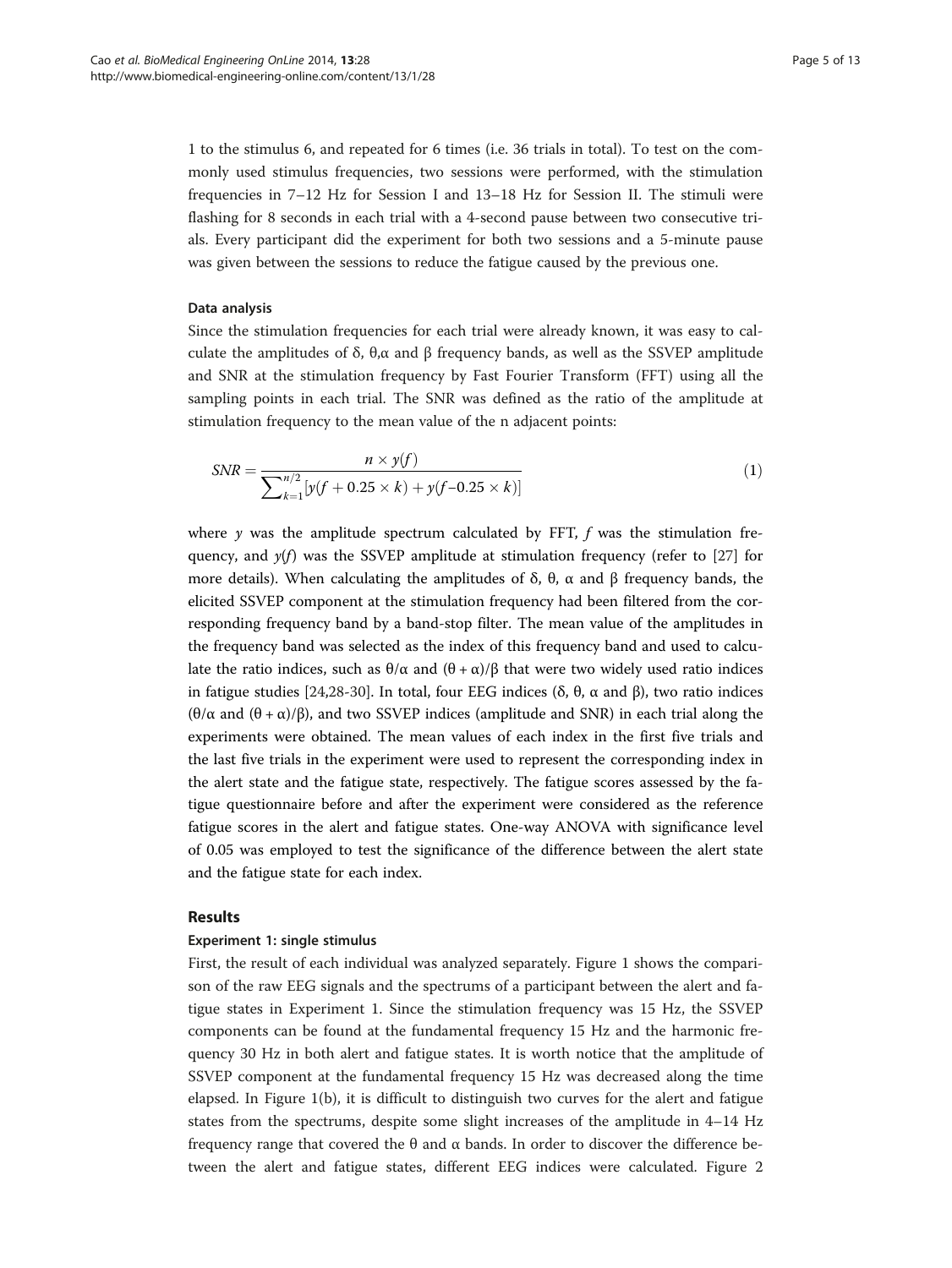1 to the stimulus 6, and repeated for 6 times (i.e. 36 trials in total). To test on the commonly used stimulus frequencies, two sessions were performed, with the stimulation frequencies in 7–12 Hz for Session I and 13–18 Hz for Session II. The stimuli were flashing for 8 seconds in each trial with a 4-second pause between two consecutive trials. Every participant did the experiment for both two sessions and a 5-minute pause was given between the sessions to reduce the fatigue caused by the previous one.

#### Data analysis

Since the stimulation frequencies for each trial were already known, it was easy to calculate the amplitudes of δ, θ,α and β frequency bands, as well as the SSVEP amplitude and SNR at the stimulation frequency by Fast Fourier Transform (FFT) using all the sampling points in each trial. The SNR was defined as the ratio of the amplitude at stimulation frequency to the mean value of the n adjacent points:

$$
SNR = \frac{n \times y(f)}{\sum_{k=1}^{n/2} [y(f+0.25 \times k) + y(f-0.25 \times k)]}
$$
(1)

where  $\gamma$  was the amplitude spectrum calculated by FFT,  $f$  was the stimulation frequency, and  $y(f)$  was the SSVEP amplitude at stimulation frequency (refer to [\[27\]](#page-12-0) for more details). When calculating the amplitudes of  $\delta$ , θ, α and β frequency bands, the elicited SSVEP component at the stimulation frequency had been filtered from the corresponding frequency band by a band-stop filter. The mean value of the amplitudes in the frequency band was selected as the index of this frequency band and used to calculate the ratio indices, such as  $θ/α$  and  $(θ + α)/β$  that were two widely used ratio indices in fatigue studies [[24](#page-12-0),[28-30\]](#page-12-0). In total, four EEG indices (δ,  $\theta$ ,  $\alpha$  and  $\beta$ ), two ratio indices  $(\theta/\alpha$  and  $(\theta + \alpha)/\beta)$ , and two SSVEP indices (amplitude and SNR) in each trial along the experiments were obtained. The mean values of each index in the first five trials and the last five trials in the experiment were used to represent the corresponding index in the alert state and the fatigue state, respectively. The fatigue scores assessed by the fatigue questionnaire before and after the experiment were considered as the reference fatigue scores in the alert and fatigue states. One-way ANOVA with significance level of 0.05 was employed to test the significance of the difference between the alert state and the fatigue state for each index.

# Results

#### Experiment 1: single stimulus

First, the result of each individual was analyzed separately. Figure [1](#page-5-0) shows the comparison of the raw EEG signals and the spectrums of a participant between the alert and fatigue states in Experiment 1. Since the stimulation frequency was 15 Hz, the SSVEP components can be found at the fundamental frequency 15 Hz and the harmonic frequency 30 Hz in both alert and fatigue states. It is worth notice that the amplitude of SSVEP component at the fundamental frequency 15 Hz was decreased along the time elapsed. In Figure [1\(](#page-5-0)b), it is difficult to distinguish two curves for the alert and fatigue states from the spectrums, despite some slight increases of the amplitude in 4–14 Hz frequency range that covered the θ and α bands. In order to discover the difference between the alert and fatigue states, different EEG indices were calculated. Figure [2](#page-6-0)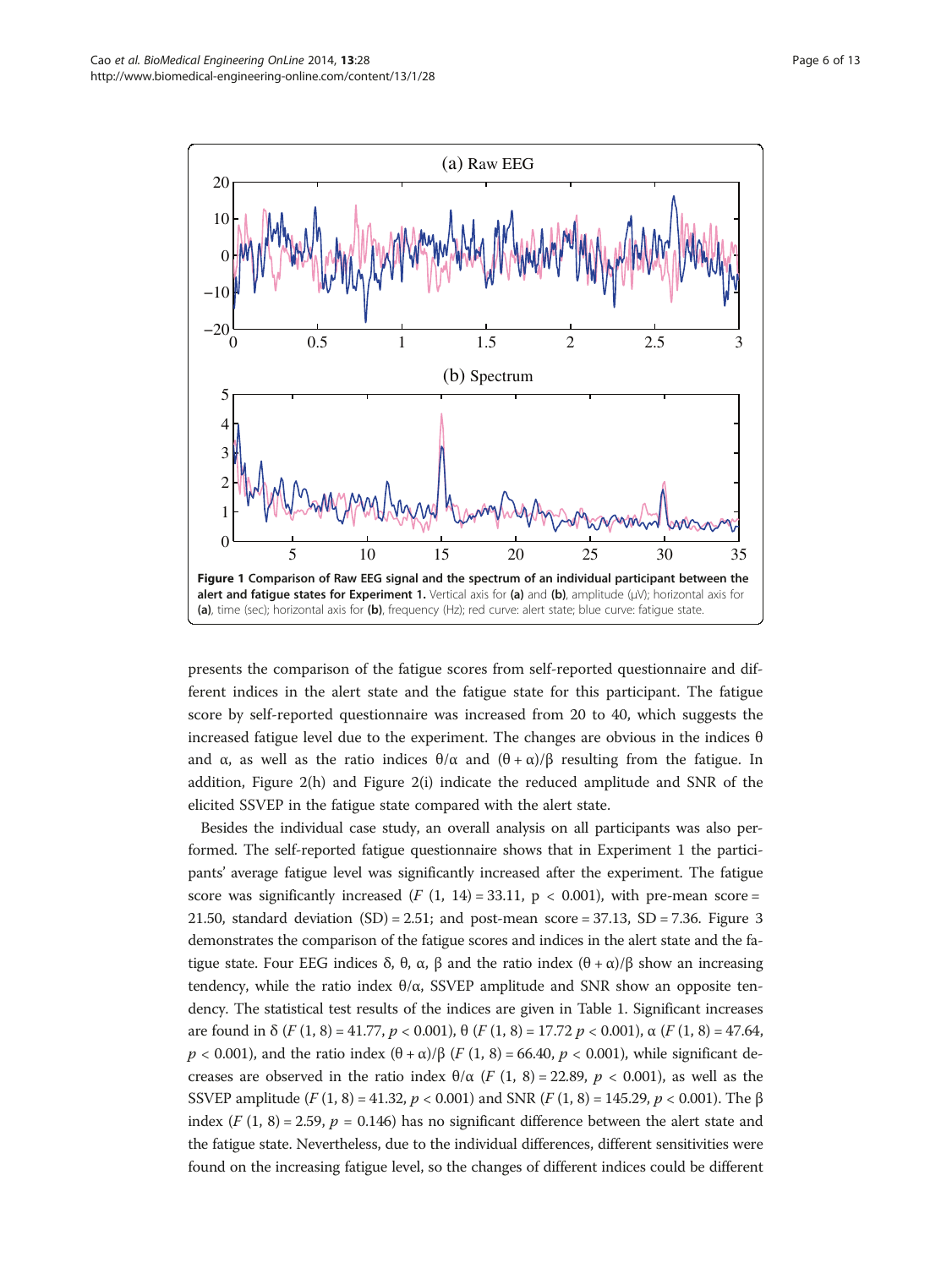<span id="page-5-0"></span>

presents the comparison of the fatigue scores from self-reported questionnaire and different indices in the alert state and the fatigue state for this participant. The fatigue score by self-reported questionnaire was increased from 20 to 40, which suggests the increased fatigue level due to the experiment. The changes are obvious in the indices  $\theta$ and  $\alpha$ , as well as the ratio indices  $\theta/\alpha$  and  $(\theta + \alpha)/\beta$  resulting from the fatigue. In addition, Figure [2](#page-6-0)(h) and Figure [2](#page-6-0)(i) indicate the reduced amplitude and SNR of the elicited SSVEP in the fatigue state compared with the alert state.

Besides the individual case study, an overall analysis on all participants was also performed. The self-reported fatigue questionnaire shows that in Experiment 1 the participants' average fatigue level was significantly increased after the experiment. The fatigue score was significantly increased  $(F (1, 14) = 33.11, p < 0.001)$ , with pre-mean score = 21.50, standard deviation  $(SD) = 2.51$ ; and post-mean score = [3](#page-7-0)7.13,  $SD = 7.36$ . Figure 3 demonstrates the comparison of the fatigue scores and indices in the alert state and the fatigue state. Four EEG indices  $\delta$ , θ, α, β and the ratio index  $(θ + α)/β$  show an increasing tendency, while the ratio index  $\theta/\alpha$ , SSVEP amplitude and SNR show an opposite tendency. The statistical test results of the indices are given in Table [1.](#page-8-0) Significant increases are found in  $\delta$  (F (1, 8) = 41.77, p < 0.001),  $\theta$  (F (1, 8) = 17.72 p < 0.001),  $\alpha$  (F (1, 8) = 47.64,  $p < 0.001$ ), and the ratio index  $(\theta + \alpha)/\beta$  (F (1, 8) = 66.40, p < 0.001), while significant decreases are observed in the ratio index  $\theta/\alpha$  (F (1, 8) = 22.89, p < 0.001), as well as the SSVEP amplitude  $(F(1, 8) = 41.32, p < 0.001)$  and SNR  $(F(1, 8) = 145.29, p < 0.001)$ . The  $\beta$ index  $(F(1, 8) = 2.59, p = 0.146)$  has no significant difference between the alert state and the fatigue state. Nevertheless, due to the individual differences, different sensitivities were found on the increasing fatigue level, so the changes of different indices could be different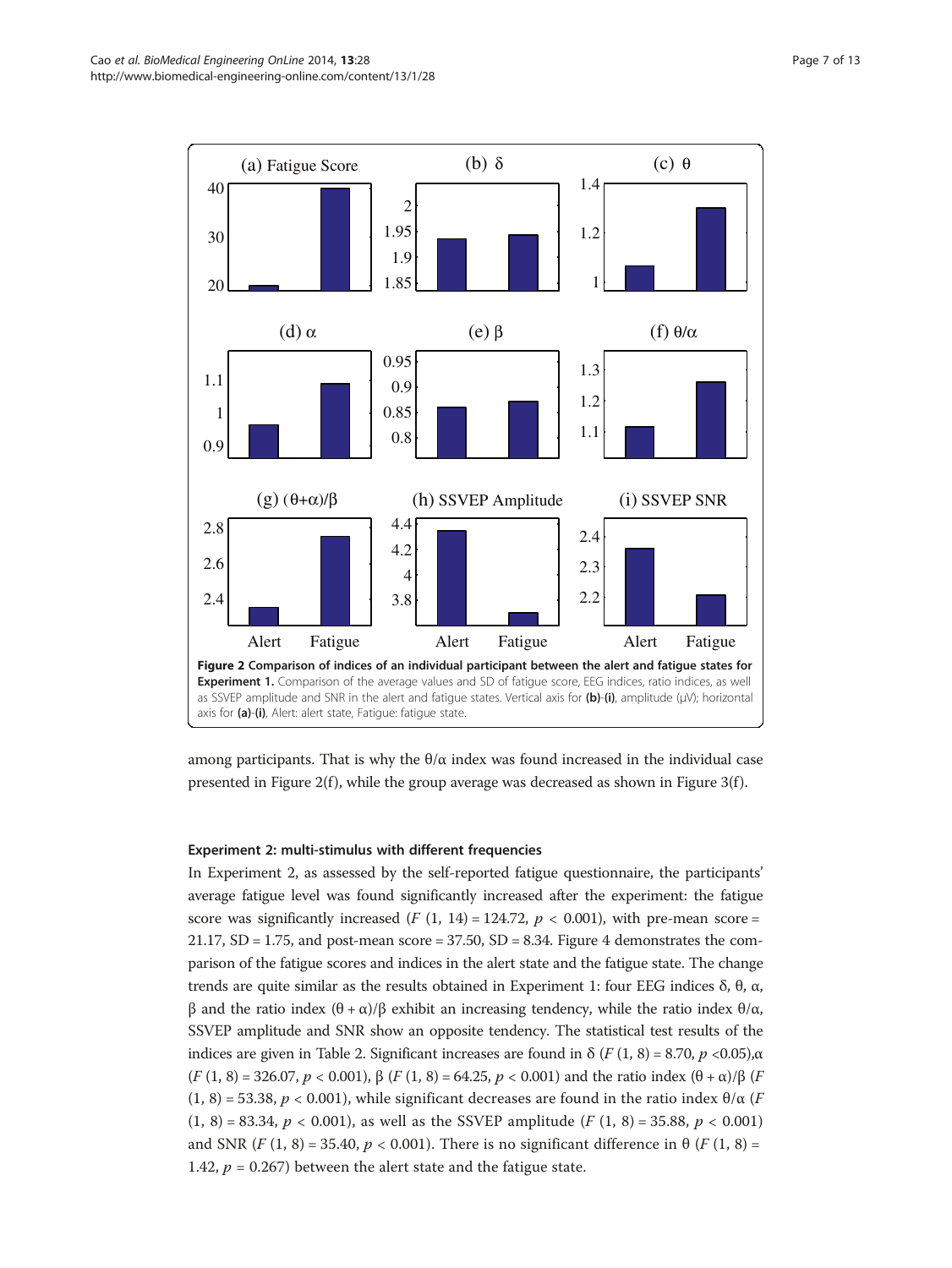<span id="page-6-0"></span>

among participants. That is why the  $\theta/\alpha$  index was found increased in the individual case presented in Figure 2(f), while the group average was decreased as shown in Figure [3](#page-7-0)(f).

# Experiment 2: multi-stimulus with different frequencies

In Experiment 2, as assessed by the self-reported fatigue questionnaire, the participants' average fatigue level was found significantly increased after the experiment: the fatigue score was significantly increased (F  $(1, 14) = 124.72$ ,  $p < 0.001$ ), with pre-mean score = 21.17,  $SD = 1.75$ , and post-mean score = 37.50,  $SD = 8.34$ . Figure [4](#page-8-0) demonstrates the comparison of the fatigue scores and indices in the alert state and the fatigue state. The change trends are quite similar as the results obtained in Experiment 1: four EEG indices δ, θ, α, β and the ratio index (θ + α)/β exhibit an increasing tendency, while the ratio index θ/α, SSVEP amplitude and SNR show an opposite tendency. The statistical test results of the indices are given in Table [2.](#page-9-0) Significant increases are found in δ (F (1, 8) = 8.70,  $p < 0.05$ ),α (F (1, 8) = 326.07, p < 0.001),  $\beta$  (F (1, 8) = 64.25, p < 0.001) and the ratio index ( $\theta + \alpha$ )/ $\beta$  (F (1, 8) = 53.38,  $p < 0.001$ ), while significant decreases are found in the ratio index  $\theta/\alpha$  (*F*  $(1, 8) = 83.34, p < 0.001$ , as well as the SSVEP amplitude (*F*  $(1, 8) = 35.88, p < 0.001$ ) and SNR (F (1, 8) = 35.40, p < 0.001). There is no significant difference in θ (F (1, 8) = 1.42,  $p = 0.267$ ) between the alert state and the fatigue state.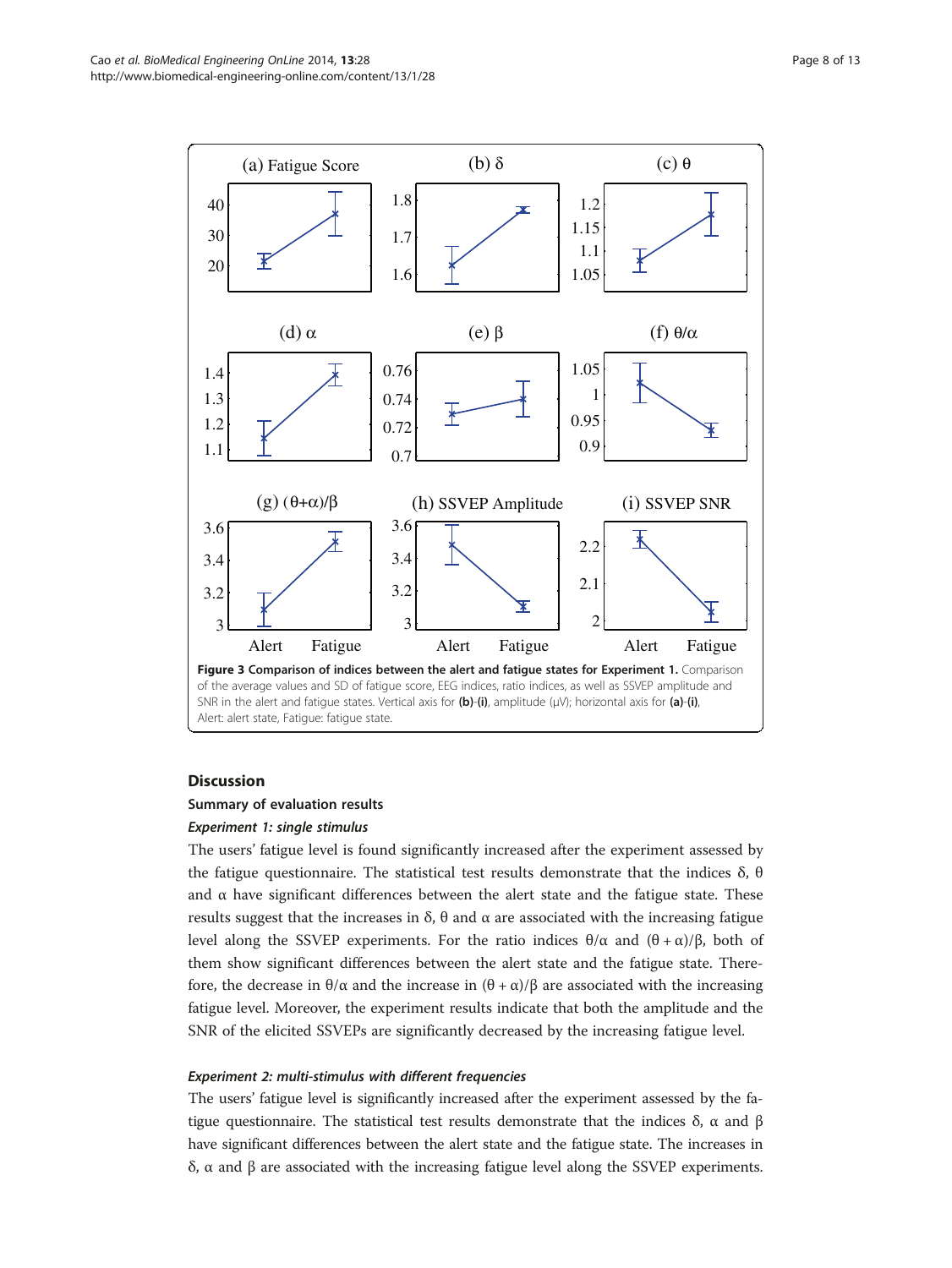<span id="page-7-0"></span>

## **Discussion**

#### Summary of evaluation results

# Experiment 1: single stimulus

The users' fatigue level is found significantly increased after the experiment assessed by the fatigue questionnaire. The statistical test results demonstrate that the indices δ, θ and  $\alpha$  have significant differences between the alert state and the fatigue state. These results suggest that the increases in δ, θ and α are associated with the increasing fatigue level along the SSVEP experiments. For the ratio indices  $θ/α$  and  $(θ + α)/β$ , both of them show significant differences between the alert state and the fatigue state. Therefore, the decrease in  $\theta/\alpha$  and the increase in  $(\theta + \alpha)/\beta$  are associated with the increasing fatigue level. Moreover, the experiment results indicate that both the amplitude and the SNR of the elicited SSVEPs are significantly decreased by the increasing fatigue level.

# Experiment 2: multi-stimulus with different frequencies

The users' fatigue level is significantly increased after the experiment assessed by the fatigue questionnaire. The statistical test results demonstrate that the indices  $δ$ , α and β have significant differences between the alert state and the fatigue state. The increases in δ, α and β are associated with the increasing fatigue level along the SSVEP experiments.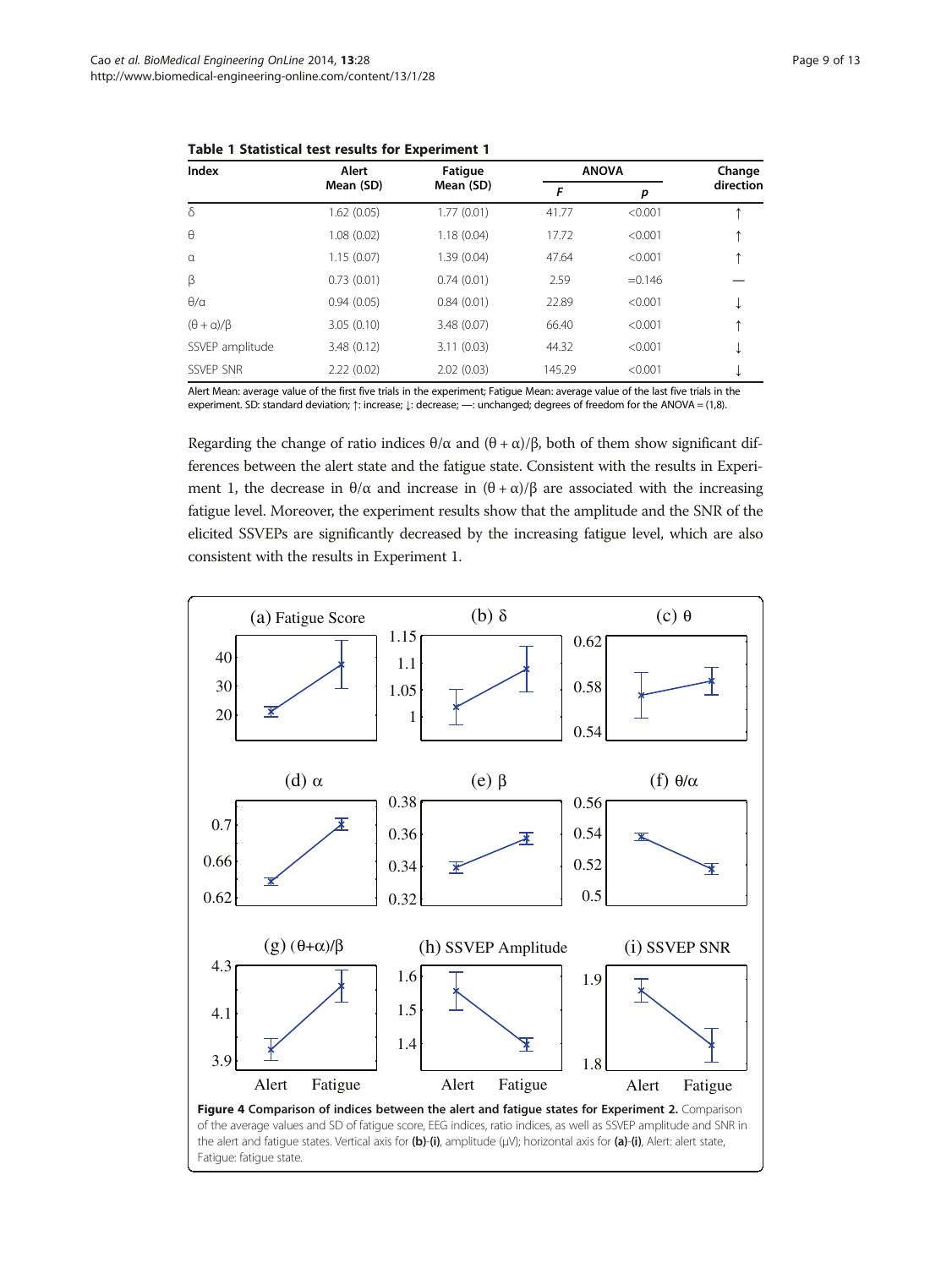<span id="page-8-0"></span>Table 1 Statistical test results for Experiment 1

| Index                     | Alert<br>Mean (SD) | Fatigue<br>Mean (SD) | <b>ANOVA</b> |           | Change    |
|---------------------------|--------------------|----------------------|--------------|-----------|-----------|
|                           |                    |                      | F            | p         | direction |
| δ                         | 1.62(0.05)         | 1.77(0.01)           | 41.77        | < 0.001   |           |
| $\theta$                  | 1.08(0.02)         | 1.18(0.04)           | 17.72        | < 0.001   |           |
| $\alpha$                  | 1.15(0.07)         | 1.39(0.04)           | 47.64        | < 0.001   |           |
| β                         | 0.73(0.01)         | 0.74(0.01)           | 2.59         | $= 0.146$ |           |
| $\theta/\alpha$           | 0.94(0.05)         | 0.84(0.01)           | 22.89        | < 0.001   | ↓         |
| $(\theta + \alpha)/\beta$ | 3.05(0.10)         | 3.48(0.07)           | 66.40        | < 0.001   |           |
| SSVEP amplitude           | 3.48(0.12)         | 3.11(0.03)           | 44.32        | < 0.001   | ↓         |
| <b>SSVEP SNR</b>          | 2.22(0.02)         | 2.02(0.03)           | 145.29       | < 0.001   |           |

Alert Mean: average value of the first five trials in the experiment; Fatigue Mean: average value of the last five trials in the experiment. SD: standard deviation; ↑: increase; ↓: decrease; —: unchanged; degrees of freedom for the ANOVA = (1,8).

Regarding the change of ratio indices  $\theta/\alpha$  and  $(\theta + \alpha)/\beta$ , both of them show significant differences between the alert state and the fatigue state. Consistent with the results in Experiment 1, the decrease in  $\theta/\alpha$  and increase in  $(\theta + \alpha)/\beta$  are associated with the increasing fatigue level. Moreover, the experiment results show that the amplitude and the SNR of the elicited SSVEPs are significantly decreased by the increasing fatigue level, which are also consistent with the results in Experiment 1.

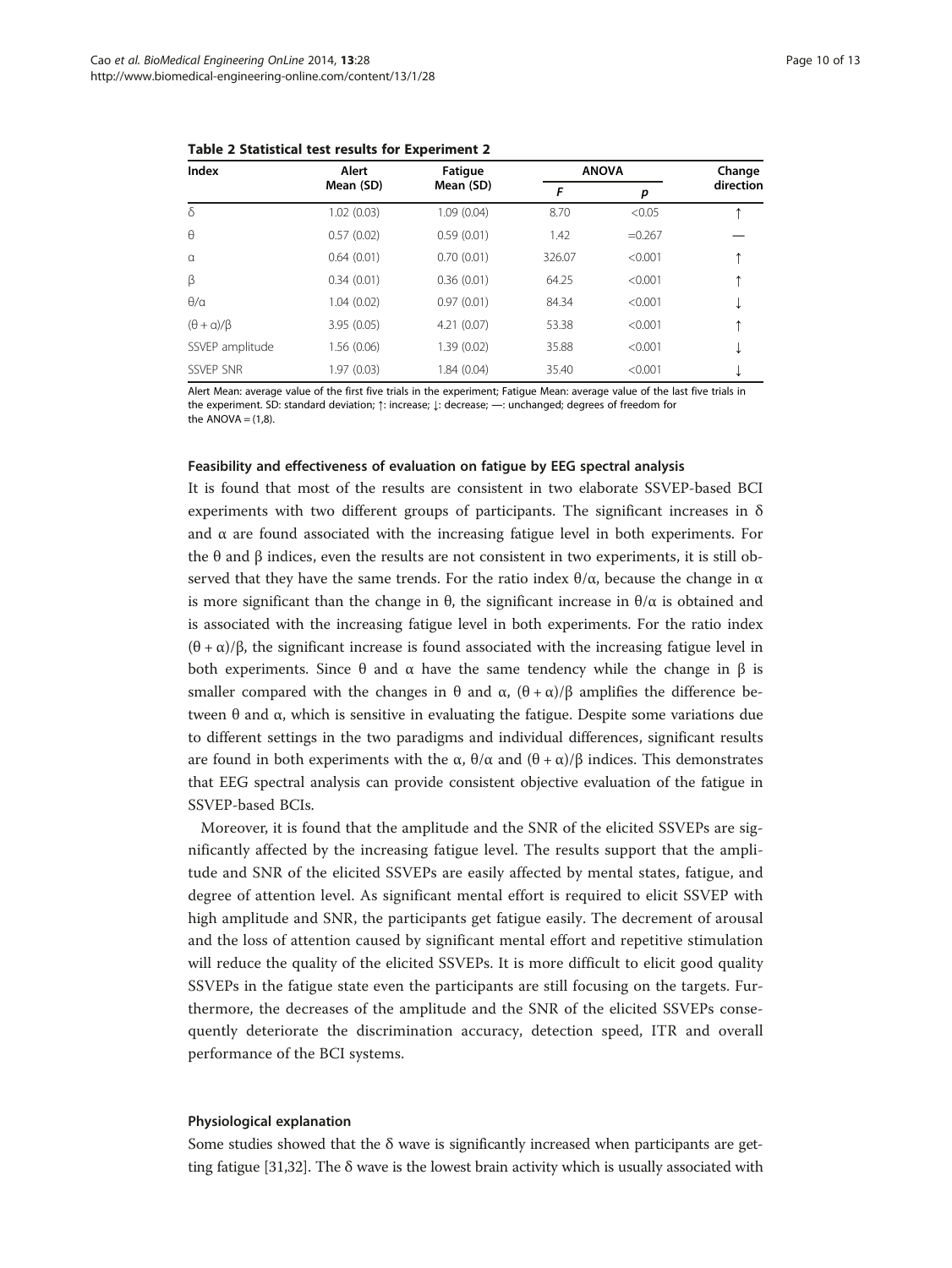<span id="page-9-0"></span>Table 2 Statistical test results for Experiment 2

| Index                     | Alert<br>Mean (SD) | Fatique<br>Mean (SD) | <b>ANOVA</b> |          | Change    |
|---------------------------|--------------------|----------------------|--------------|----------|-----------|
|                           |                    |                      | F            | р        | direction |
| δ                         | 1.02(0.03)         | 1.09(0.04)           | 8.70         | < 0.05   |           |
| $\theta$                  | 0.57(0.02)         | 0.59(0.01)           | 1.42         | $=0.267$ |           |
| α                         | 0.64(0.01)         | 0.70(0.01)           | 326.07       | < 0.001  |           |
| β                         | 0.34(0.01)         | 0.36(0.01)           | 64.25        | < 0.001  |           |
| $\theta/\alpha$           | 1.04(0.02)         | 0.97(0.01)           | 84.34        | < 0.001  | ↓         |
| $(\theta + \alpha)/\beta$ | 3.95(0.05)         | 4.21(0.07)           | 53.38        | < 0.001  |           |
| SSVEP amplitude           | 1.56 (0.06)        | 1.39(0.02)           | 35.88        | < 0.001  |           |
| <b>SSVEP SNR</b>          | 1.97 (0.03)        | 1.84(0.04)           | 35.40        | < 0.001  |           |

Alert Mean: average value of the first five trials in the experiment; Fatigue Mean: average value of the last five trials in the experiment. SD: standard deviation; ↑: increase; ↓: decrease; ―: unchanged; degrees of freedom for the  $ANOVA = (1,8)$ .

#### Feasibility and effectiveness of evaluation on fatigue by EEG spectral analysis

It is found that most of the results are consistent in two elaborate SSVEP-based BCI experiments with two different groups of participants. The significant increases in  $\delta$ and  $\alpha$  are found associated with the increasing fatigue level in both experiments. For the  $\theta$  and  $\beta$  indices, even the results are not consistent in two experiments, it is still observed that they have the same trends. For the ratio index  $\theta/\alpha$ , because the change in  $\alpha$ is more significant than the change in  $\theta$ , the significant increase in  $\theta/\alpha$  is obtained and is associated with the increasing fatigue level in both experiments. For the ratio index (θ + α)/β, the significant increase is found associated with the increasing fatigue level in both experiments. Since  $\theta$  and  $\alpha$  have the same tendency while the change in  $\beta$  is smaller compared with the changes in  $\theta$  and  $\alpha$ ,  $(\theta + \alpha)/\beta$  amplifies the difference between θ and α, which is sensitive in evaluating the fatigue. Despite some variations due to different settings in the two paradigms and individual differences, significant results are found in both experiments with the α,  $θ/α$  and  $(θ + α)/β$  indices. This demonstrates that EEG spectral analysis can provide consistent objective evaluation of the fatigue in SSVEP-based BCIs.

Moreover, it is found that the amplitude and the SNR of the elicited SSVEPs are significantly affected by the increasing fatigue level. The results support that the amplitude and SNR of the elicited SSVEPs are easily affected by mental states, fatigue, and degree of attention level. As significant mental effort is required to elicit SSVEP with high amplitude and SNR, the participants get fatigue easily. The decrement of arousal and the loss of attention caused by significant mental effort and repetitive stimulation will reduce the quality of the elicited SSVEPs. It is more difficult to elicit good quality SSVEPs in the fatigue state even the participants are still focusing on the targets. Furthermore, the decreases of the amplitude and the SNR of the elicited SSVEPs consequently deteriorate the discrimination accuracy, detection speed, ITR and overall performance of the BCI systems.

# Physiological explanation

Some studies showed that the  $\delta$  wave is significantly increased when participants are get-ting fatigue [\[31,32\]](#page-12-0). The  $\delta$  wave is the lowest brain activity which is usually associated with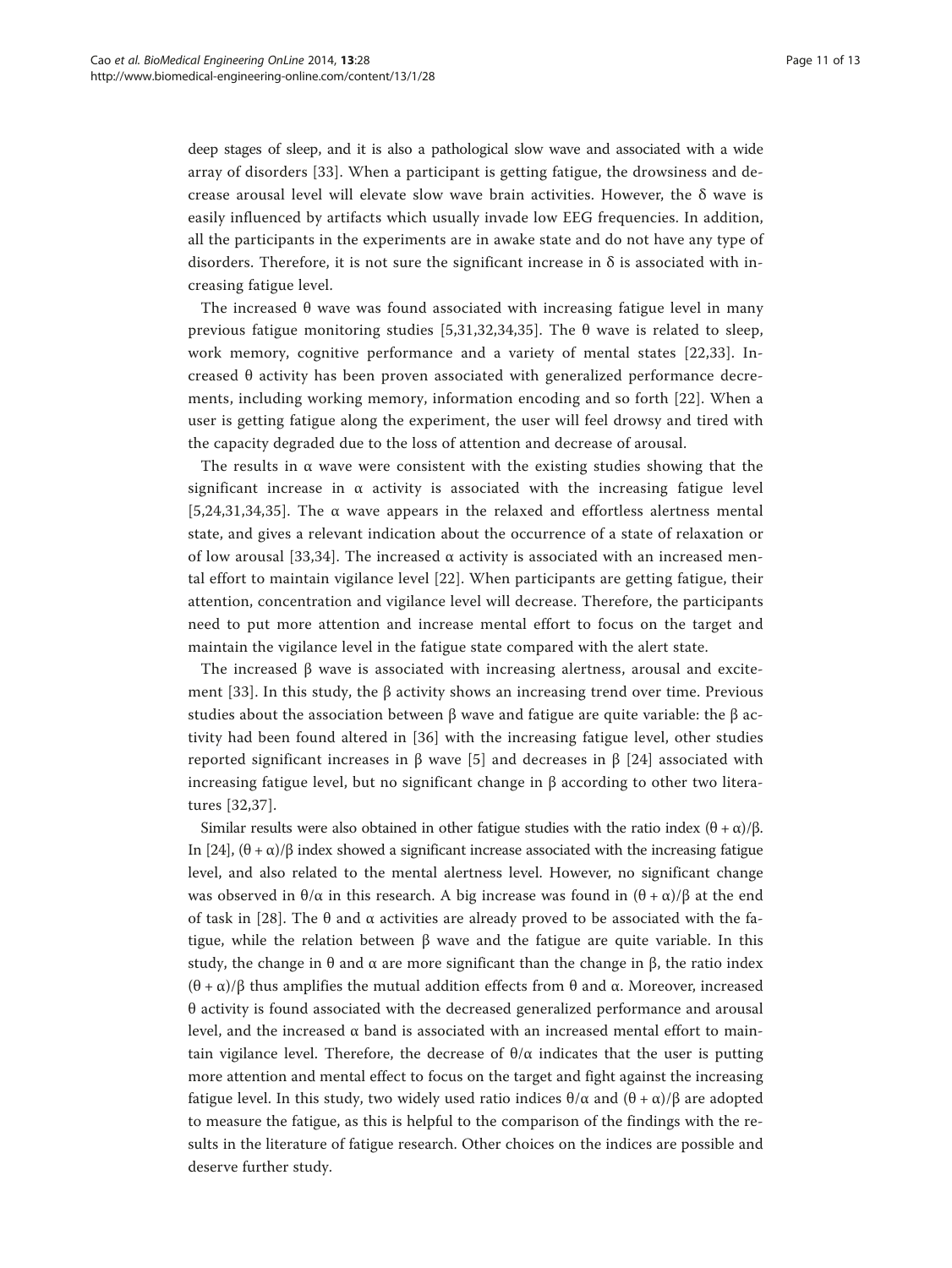deep stages of sleep, and it is also a pathological slow wave and associated with a wide array of disorders [[33](#page-12-0)]. When a participant is getting fatigue, the drowsiness and decrease arousal level will elevate slow wave brain activities. However, the  $\delta$  wave is easily influenced by artifacts which usually invade low EEG frequencies. In addition, all the participants in the experiments are in awake state and do not have any type of disorders. Therefore, it is not sure the significant increase in  $\delta$  is associated with increasing fatigue level.

The increased  $\theta$  wave was found associated with increasing fatigue level in many previous fatigue monitoring studies [[5,](#page-11-0)[31](#page-12-0),[32,34,35](#page-12-0)]. The  $\theta$  wave is related to sleep, work memory, cognitive performance and a variety of mental states [[22,33](#page-12-0)]. Increased θ activity has been proven associated with generalized performance decrements, including working memory, information encoding and so forth [[22](#page-12-0)]. When a user is getting fatigue along the experiment, the user will feel drowsy and tired with the capacity degraded due to the loss of attention and decrease of arousal.

The results in  $\alpha$  wave were consistent with the existing studies showing that the significant increase in  $\alpha$  activity is associated with the increasing fatigue level [[5](#page-11-0)[,24,31](#page-12-0),[34,35](#page-12-0)]. The  $\alpha$  wave appears in the relaxed and effortless alertness mental state, and gives a relevant indication about the occurrence of a state of relaxation or of low arousal [\[33](#page-12-0),[34](#page-12-0)]. The increased α activity is associated with an increased mental effort to maintain vigilance level [[22](#page-12-0)]. When participants are getting fatigue, their attention, concentration and vigilance level will decrease. Therefore, the participants need to put more attention and increase mental effort to focus on the target and maintain the vigilance level in the fatigue state compared with the alert state.

The increased  $\beta$  wave is associated with increasing alertness, arousal and excite-ment [[33](#page-12-0)]. In this study, the  $\beta$  activity shows an increasing trend over time. Previous studies about the association between β wave and fatigue are quite variable: the β activity had been found altered in [\[36\]](#page-12-0) with the increasing fatigue level, other studies reported significant increases in β wave [[5\]](#page-11-0) and decreases in β [\[24](#page-12-0)] associated with increasing fatigue level, but no significant change in β according to other two literatures [[32,37\]](#page-12-0).

Similar results were also obtained in other fatigue studies with the ratio index  $(θ + α)/β$ . In [[24\]](#page-12-0),  $(θ + α)/β$  index showed a significant increase associated with the increasing fatigue level, and also related to the mental alertness level. However, no significant change was observed in  $\theta/\alpha$  in this research. A big increase was found in  $(\theta + \alpha)/\beta$  at the end of task in [[28\]](#page-12-0). The  $\theta$  and  $\alpha$  activities are already proved to be associated with the fatigue, while the relation between β wave and the fatigue are quite variable. In this study, the change in θ and α are more significant than the change in β, the ratio index (θ + α)/β thus amplifies the mutual addition effects from θ and α. Moreover, increased θ activity is found associated with the decreased generalized performance and arousal level, and the increased α band is associated with an increased mental effort to maintain vigilance level. Therefore, the decrease of  $\theta/\alpha$  indicates that the user is putting more attention and mental effect to focus on the target and fight against the increasing fatigue level. In this study, two widely used ratio indices θ/α and (θ + α)/β are adopted to measure the fatigue, as this is helpful to the comparison of the findings with the results in the literature of fatigue research. Other choices on the indices are possible and deserve further study.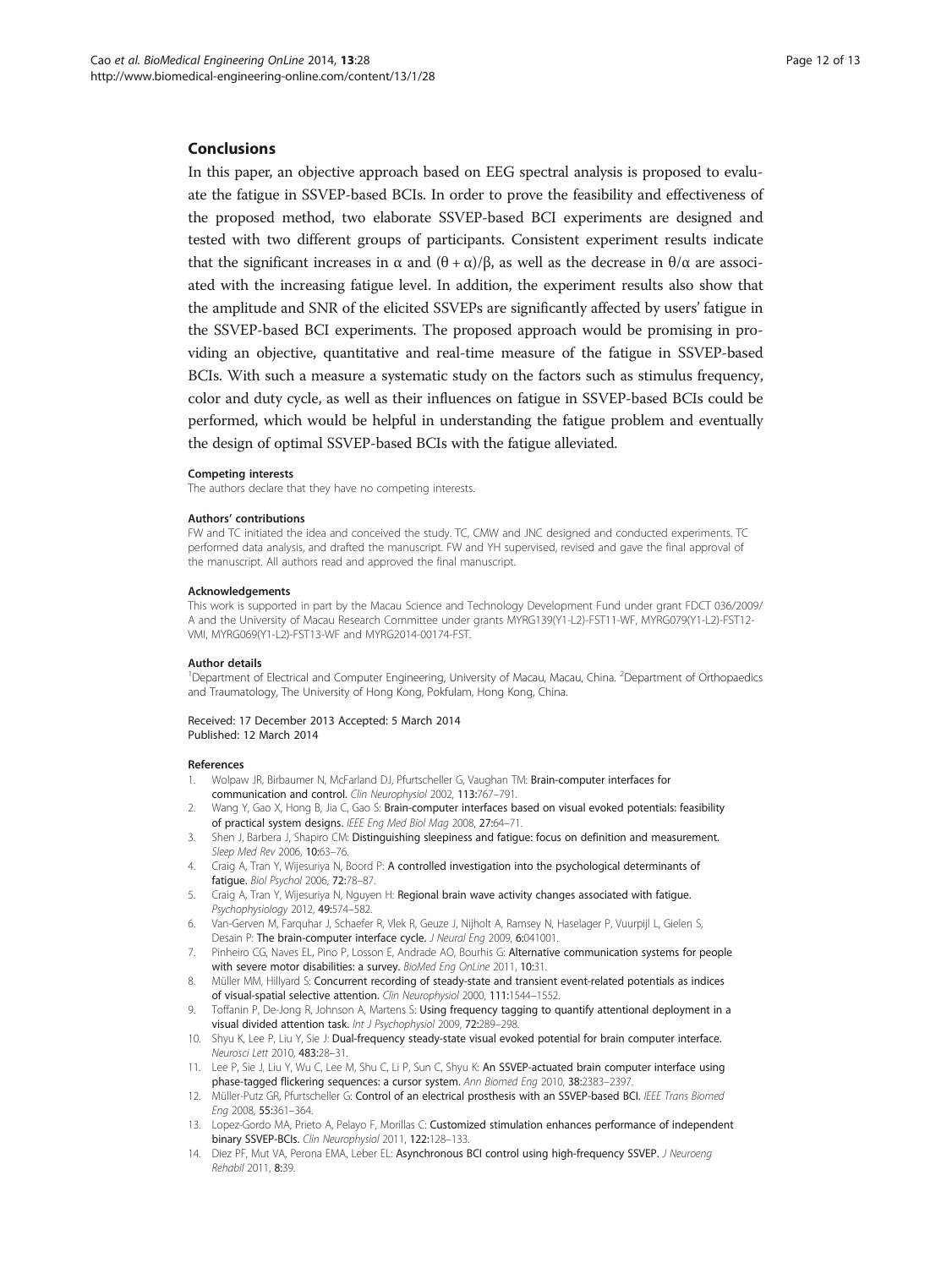# <span id="page-11-0"></span>Conclusions

In this paper, an objective approach based on EEG spectral analysis is proposed to evaluate the fatigue in SSVEP-based BCIs. In order to prove the feasibility and effectiveness of the proposed method, two elaborate SSVEP-based BCI experiments are designed and tested with two different groups of participants. Consistent experiment results indicate that the significant increases in α and  $(θ + α)/β$ , as well as the decrease in  $θ/α$  are associated with the increasing fatigue level. In addition, the experiment results also show that the amplitude and SNR of the elicited SSVEPs are significantly affected by users' fatigue in the SSVEP-based BCI experiments. The proposed approach would be promising in providing an objective, quantitative and real-time measure of the fatigue in SSVEP-based BCIs. With such a measure a systematic study on the factors such as stimulus frequency, color and duty cycle, as well as their influences on fatigue in SSVEP-based BCIs could be performed, which would be helpful in understanding the fatigue problem and eventually the design of optimal SSVEP-based BCIs with the fatigue alleviated.

#### Competing interests

The authors declare that they have no competing interests.

#### Authors' contributions

FW and TC initiated the idea and conceived the study. TC, CMW and JNC designed and conducted experiments. TC performed data analysis, and drafted the manuscript. FW and YH supervised, revised and gave the final approval of the manuscript. All authors read and approved the final manuscript.

#### Acknowledgements

This work is supported in part by the Macau Science and Technology Development Fund under grant FDCT 036/2009/ A and the University of Macau Research Committee under grants MYRG139(Y1-L2)-FST11-WF, MYRG079(Y1-L2)-FST12- VMI, MYRG069(Y1-L2)-FST13-WF and MYRG2014-00174-FST.

#### Author details

<sup>1</sup>Department of Electrical and Computer Engineering, University of Macau, Macau, China. <sup>2</sup>Department of Orthopaedics and Traumatology, The University of Hong Kong, Pokfulam, Hong Kong, China.

#### Received: 17 December 2013 Accepted: 5 March 2014 Published: 12 March 2014

#### References

- 1. Wolpaw JR, Birbaumer N, McFarland DJ, Pfurtscheller G, Vaughan TM: Brain-computer interfaces for communication and control. Clin Neurophysiol 2002, 113:767–791.
- 2. Wang Y, Gao X, Hong B, Jia C, Gao S: Brain-computer interfaces based on visual evoked potentials: feasibility of practical system designs. IEEE Eng Med Biol Mag 2008, 27:64–71.
- Shen J, Barbera J, Shapiro CM: Distinguishing sleepiness and fatigue: focus on definition and measurement. Sleep Med Rev 2006, 10:63-76.
- 4. Craig A, Tran Y, Wijesuriya N, Boord P: A controlled investigation into the psychological determinants of fatigue. Biol Psychol 2006, 72:78–87.
- 5. Craig A, Tran Y, Wijesuriya N, Nguyen H: Regional brain wave activity changes associated with fatigue. Psychophysiology 2012, 49:574–582.
- 6. Van-Gerven M, Farquhar J, Schaefer R, Vlek R, Geuze J, Nijholt A, Ramsey N, Haselager P, Vuurpijl L, Gielen S, Desain P: The brain-computer interface cycle. J Neural Eng 2009, 6:041001.
- 7. Pinheiro CG, Naves EL, Pino P, Losson E, Andrade AO, Bourhis G: Alternative communication systems for people with severe motor disabilities: a survey. BioMed Eng OnLine 2011, 10:31.
- 8. Müller MM, Hillyard S: Concurrent recording of steady-state and transient event-related potentials as indices of visual-spatial selective attention. Clin Neurophysiol 2000, 111:1544–1552.
- 9. Toffanin P, De-Jong R, Johnson A, Martens S: Using frequency tagging to quantify attentional deployment in a visual divided attention task. Int J Psychophysiol 2009, 72:289–298.
- 10. Shyu K, Lee P, Liu Y, Sie J: Dual-frequency steady-state visual evoked potential for brain computer interface. Neurosci Lett 2010, 483:28–31.
- 11. Lee P, Sie J, Liu Y, Wu C, Lee M, Shu C, Li P, Sun C, Shyu K: An SSVEP-actuated brain computer interface using phase-tagged flickering sequences: a cursor system. Ann Biomed Eng 2010, 38:2383–2397.
- 12. Müller-Putz GR, Pfurtscheller G: Control of an electrical prosthesis with an SSVEP-based BCI. IEEE Trans Biomed Eng 2008, 55:361–364.
- 13. Lopez-Gordo MA, Prieto A, Pelayo F, Morillas C: Customized stimulation enhances performance of independent binary SSVEP-BCIs. Clin Neurophysiol 2011, 122:128–133.
- 14. Diez PF, Mut VA, Perona EMA, Leber EL: Asynchronous BCI control using high-frequency SSVEP. J Neuroeng Rehabil 2011, 8:39.